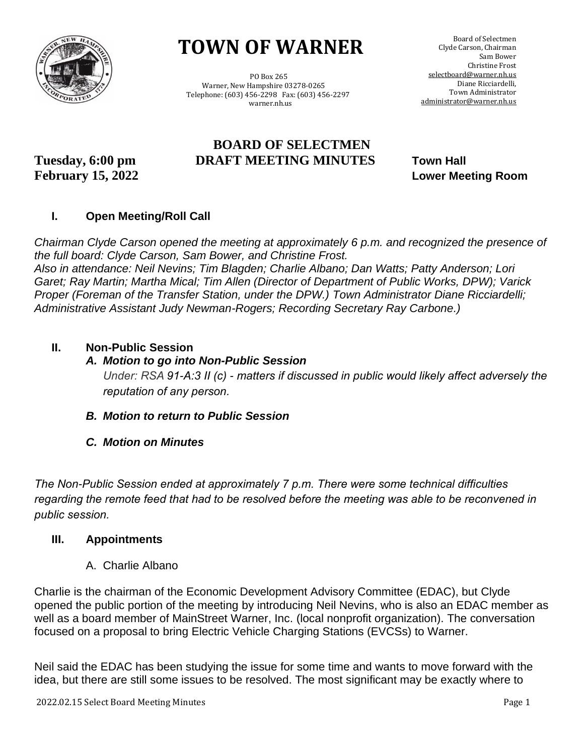

# **TOWN OF WARNER**

 PO Box 265 Warner, New Hampshire 03278-0265 Telephone: (603) 456-2298 Fax: (603) 456-2297 warner.nh.us

# **BOARD OF SELECTMEN Tuesday, 6:00 pm DRAFT MEETING MINUTES Town Hall**

**February 15, 2022 Lower Meeting Room**

# **I. Open Meeting/Roll Call**

*Chairman Clyde Carson opened the meeting at approximately 6 p.m. and recognized the presence of the full board: Clyde Carson, Sam Bower, and Christine Frost.*

*Also in attendance: Neil Nevins; Tim Blagden; Charlie Albano; Dan Watts; Patty Anderson; Lori Garet; Ray Martin; Martha Mical; Tim Allen (Director of Department of Public Works, DPW); Varick Proper (Foreman of the Transfer Station, under the DPW.) Town Administrator Diane Ricciardelli; Administrative Assistant Judy Newman-Rogers; Recording Secretary Ray Carbone.)*

# **II. Non-Public Session**

#### *A. Motion to go into Non-Public Session*

*Under: RSA 91-A:3 II (c) - matters if discussed in public would likely affect adversely the reputation of any person.*

- *B. Motion to return to Public Session*
- *C. Motion on Minutes*

*The Non-Public Session ended at approximately 7 p.m. There were some technical difficulties*  regarding the remote feed that had to be resolved before the meeting was able to be reconvened in *public session.*

#### **III. Appointments**

A. Charlie Albano

Charlie is the chairman of the Economic Development Advisory Committee (EDAC), but Clyde opened the public portion of the meeting by introducing Neil Nevins, who is also an EDAC member as well as a board member of MainStreet Warner, Inc. (local nonprofit organization). The conversation focused on a proposal to bring Electric Vehicle Charging Stations (EVCSs) to Warner.

Neil said the EDAC has been studying the issue for some time and wants to move forward with the idea, but there are still some issues to be resolved. The most significant may be exactly where to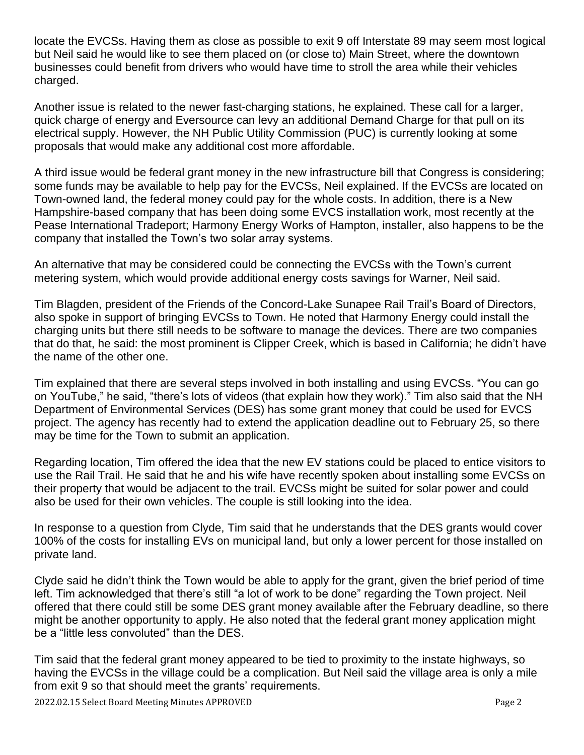locate the EVCSs. Having them as close as possible to exit 9 off Interstate 89 may seem most logical but Neil said he would like to see them placed on (or close to) Main Street, where the downtown businesses could benefit from drivers who would have time to stroll the area while their vehicles charged.

Another issue is related to the newer fast-charging stations, he explained. These call for a larger, quick charge of energy and Eversource can levy an additional Demand Charge for that pull on its electrical supply. However, the NH Public Utility Commission (PUC) is currently looking at some proposals that would make any additional cost more affordable.

A third issue would be federal grant money in the new infrastructure bill that Congress is considering; some funds may be available to help pay for the EVCSs, Neil explained. If the EVCSs are located on Town-owned land, the federal money could pay for the whole costs. In addition, there is a New Hampshire-based company that has been doing some EVCS installation work, most recently at the Pease International Tradeport; Harmony Energy Works of Hampton, installer, also happens to be the company that installed the Town's two solar array systems.

An alternative that may be considered could be connecting the EVCSs with the Town's current metering system, which would provide additional energy costs savings for Warner, Neil said.

Tim Blagden, president of the Friends of the Concord-Lake Sunapee Rail Trail's Board of Directors, also spoke in support of bringing EVCSs to Town. He noted that Harmony Energy could install the charging units but there still needs to be software to manage the devices. There are two companies that do that, he said: the most prominent is Clipper Creek, which is based in California; he didn't have the name of the other one.

Tim explained that there are several steps involved in both installing and using EVCSs. "You can go on YouTube," he said, "there's lots of videos (that explain how they work)." Tim also said that the NH Department of Environmental Services (DES) has some grant money that could be used for EVCS project. The agency has recently had to extend the application deadline out to February 25, so there may be time for the Town to submit an application.

Regarding location, Tim offered the idea that the new EV stations could be placed to entice visitors to use the Rail Trail. He said that he and his wife have recently spoken about installing some EVCSs on their property that would be adjacent to the trail. EVCSs might be suited for solar power and could also be used for their own vehicles. The couple is still looking into the idea.

In response to a question from Clyde, Tim said that he understands that the DES grants would cover 100% of the costs for installing EVs on municipal land, but only a lower percent for those installed on private land.

Clyde said he didn't think the Town would be able to apply for the grant, given the brief period of time left. Tim acknowledged that there's still "a lot of work to be done" regarding the Town project. Neil offered that there could still be some DES grant money available after the February deadline, so there might be another opportunity to apply. He also noted that the federal grant money application might be a "little less convoluted" than the DES.

Tim said that the federal grant money appeared to be tied to proximity to the instate highways, so having the EVCSs in the village could be a complication. But Neil said the village area is only a mile from exit 9 so that should meet the grants' requirements.

2022.02.15 Select Board Meeting Minutes APPROVED Page 2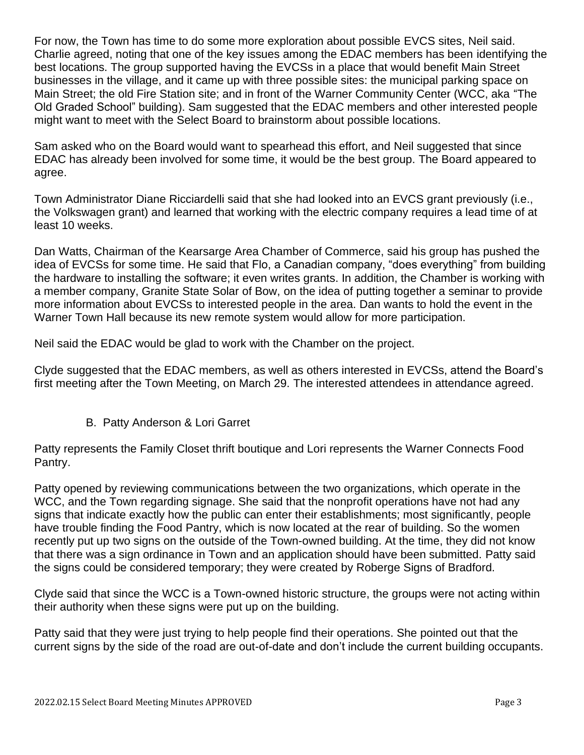For now, the Town has time to do some more exploration about possible EVCS sites, Neil said. Charlie agreed, noting that one of the key issues among the EDAC members has been identifying the best locations. The group supported having the EVCSs in a place that would benefit Main Street businesses in the village, and it came up with three possible sites: the municipal parking space on Main Street; the old Fire Station site; and in front of the Warner Community Center (WCC, aka "The Old Graded School" building). Sam suggested that the EDAC members and other interested people might want to meet with the Select Board to brainstorm about possible locations.

Sam asked who on the Board would want to spearhead this effort, and Neil suggested that since EDAC has already been involved for some time, it would be the best group. The Board appeared to agree.

Town Administrator Diane Ricciardelli said that she had looked into an EVCS grant previously (i.e., the Volkswagen grant) and learned that working with the electric company requires a lead time of at least 10 weeks.

Dan Watts, Chairman of the Kearsarge Area Chamber of Commerce, said his group has pushed the idea of EVCSs for some time. He said that Flo, a Canadian company, "does everything" from building the hardware to installing the software; it even writes grants. In addition, the Chamber is working with a member company, Granite State Solar of Bow, on the idea of putting together a seminar to provide more information about EVCSs to interested people in the area. Dan wants to hold the event in the Warner Town Hall because its new remote system would allow for more participation.

Neil said the EDAC would be glad to work with the Chamber on the project.

Clyde suggested that the EDAC members, as well as others interested in EVCSs, attend the Board's first meeting after the Town Meeting, on March 29. The interested attendees in attendance agreed.

B. Patty Anderson & Lori Garret

Patty represents the Family Closet thrift boutique and Lori represents the Warner Connects Food Pantry.

Patty opened by reviewing communications between the two organizations, which operate in the WCC, and the Town regarding signage. She said that the nonprofit operations have not had any signs that indicate exactly how the public can enter their establishments; most significantly, people have trouble finding the Food Pantry, which is now located at the rear of building. So the women recently put up two signs on the outside of the Town-owned building. At the time, they did not know that there was a sign ordinance in Town and an application should have been submitted. Patty said the signs could be considered temporary; they were created by Roberge Signs of Bradford.

Clyde said that since the WCC is a Town-owned historic structure, the groups were not acting within their authority when these signs were put up on the building.

Patty said that they were just trying to help people find their operations. She pointed out that the current signs by the side of the road are out-of-date and don't include the current building occupants.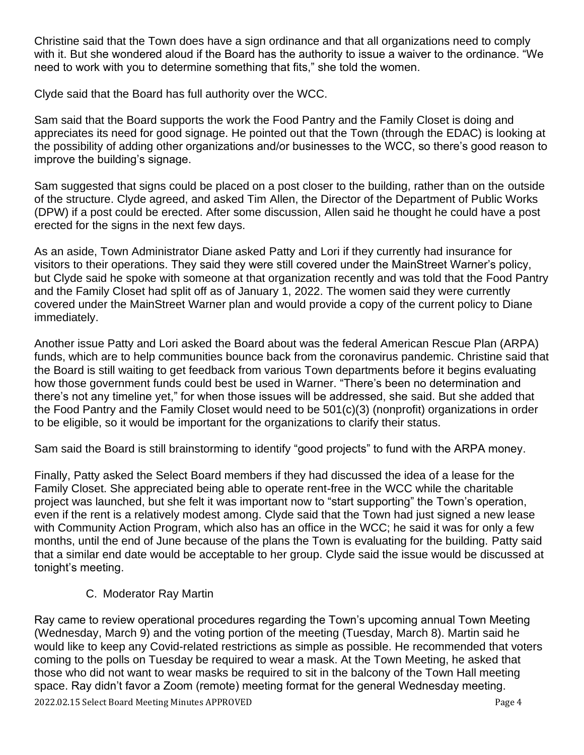Christine said that the Town does have a sign ordinance and that all organizations need to comply with it. But she wondered aloud if the Board has the authority to issue a waiver to the ordinance. "We need to work with you to determine something that fits," she told the women.

Clyde said that the Board has full authority over the WCC.

Sam said that the Board supports the work the Food Pantry and the Family Closet is doing and appreciates its need for good signage. He pointed out that the Town (through the EDAC) is looking at the possibility of adding other organizations and/or businesses to the WCC, so there's good reason to improve the building's signage.

Sam suggested that signs could be placed on a post closer to the building, rather than on the outside of the structure. Clyde agreed, and asked Tim Allen, the Director of the Department of Public Works (DPW) if a post could be erected. After some discussion, Allen said he thought he could have a post erected for the signs in the next few days.

As an aside, Town Administrator Diane asked Patty and Lori if they currently had insurance for visitors to their operations. They said they were still covered under the MainStreet Warner's policy, but Clyde said he spoke with someone at that organization recently and was told that the Food Pantry and the Family Closet had split off as of January 1, 2022. The women said they were currently covered under the MainStreet Warner plan and would provide a copy of the current policy to Diane immediately.

Another issue Patty and Lori asked the Board about was the federal American Rescue Plan (ARPA) funds, which are to help communities bounce back from the coronavirus pandemic. Christine said that the Board is still waiting to get feedback from various Town departments before it begins evaluating how those government funds could best be used in Warner. "There's been no determination and there's not any timeline yet," for when those issues will be addressed, she said. But she added that the Food Pantry and the Family Closet would need to be 501(c)(3) (nonprofit) organizations in order to be eligible, so it would be important for the organizations to clarify their status.

Sam said the Board is still brainstorming to identify "good projects" to fund with the ARPA money.

Finally, Patty asked the Select Board members if they had discussed the idea of a lease for the Family Closet. She appreciated being able to operate rent-free in the WCC while the charitable project was launched, but she felt it was important now to "start supporting" the Town's operation, even if the rent is a relatively modest among. Clyde said that the Town had just signed a new lease with Community Action Program, which also has an office in the WCC; he said it was for only a few months, until the end of June because of the plans the Town is evaluating for the building. Patty said that a similar end date would be acceptable to her group. Clyde said the issue would be discussed at tonight's meeting.

# C. Moderator Ray Martin

2022.02.15 Select Board Meeting Minutes APPROVED Page 4 Ray came to review operational procedures regarding the Town's upcoming annual Town Meeting (Wednesday, March 9) and the voting portion of the meeting (Tuesday, March 8). Martin said he would like to keep any Covid-related restrictions as simple as possible. He recommended that voters coming to the polls on Tuesday be required to wear a mask. At the Town Meeting, he asked that those who did not want to wear masks be required to sit in the balcony of the Town Hall meeting space. Ray didn't favor a Zoom (remote) meeting format for the general Wednesday meeting.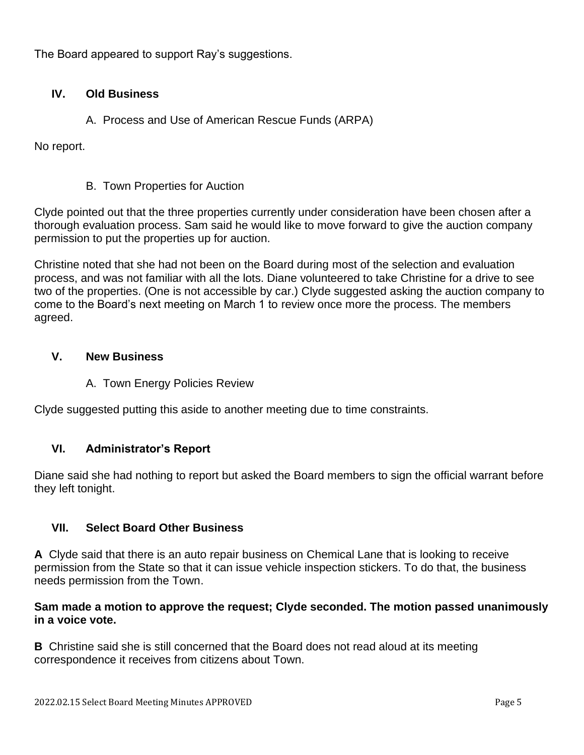The Board appeared to support Ray's suggestions.

# **IV. Old Business**

# A. Process and Use of American Rescue Funds (ARPA)

No report.

# B. Town Properties for Auction

Clyde pointed out that the three properties currently under consideration have been chosen after a thorough evaluation process. Sam said he would like to move forward to give the auction company permission to put the properties up for auction.

Christine noted that she had not been on the Board during most of the selection and evaluation process, and was not familiar with all the lots. Diane volunteered to take Christine for a drive to see two of the properties. (One is not accessible by car.) Clyde suggested asking the auction company to come to the Board's next meeting on March 1 to review once more the process. The members agreed.

#### **V. New Business**

#### A. Town Energy Policies Review

Clyde suggested putting this aside to another meeting due to time constraints.

#### **VI. Administrator's Report**

Diane said she had nothing to report but asked the Board members to sign the official warrant before they left tonight.

# **VII. Select Board Other Business**

**A** Clyde said that there is an auto repair business on Chemical Lane that is looking to receive permission from the State so that it can issue vehicle inspection stickers. To do that, the business needs permission from the Town.

#### **Sam made a motion to approve the request; Clyde seconded. The motion passed unanimously in a voice vote.**

**B** Christine said she is still concerned that the Board does not read aloud at its meeting correspondence it receives from citizens about Town.